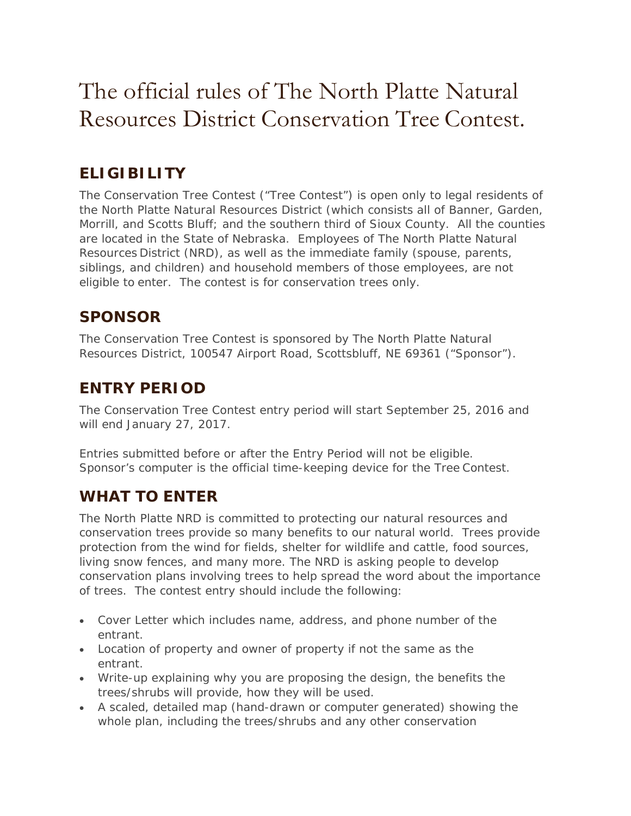# The official rules of The North Platte Natural Resources District Conservation Tree Contest.

# **ELIGIBILITY**

The Conservation Tree Contest ("Tree Contest") is open only to legal residents of the North Platte Natural Resources District (which consists all of Banner, Garden, Morrill, and Scotts Bluff; and the southern third of Sioux County. All the counties are located in the State of Nebraska. Employees of The North Platte Natural Resources District (NRD), as well as the immediate family (spouse, parents, siblings, and children) and household members of those employees, are not eligible to enter. The contest is for conservation trees only.

#### **SPONSOR**

The Conservation Tree Contest is sponsored by The North Platte Natural Resources District, 100547 Airport Road, Scottsbluff, NE 69361 ("Sponsor").

#### **ENTRY PERIOD**

The Conservation Tree Contest entry period will start September 25, 2016 and will end January 27, 2017.

Entries submitted before or after the Entry Period will not be eligible. Sponsor's computer is the official time-keeping device for the Tree Contest.

## **WHAT TO ENTER**

The North Platte NRD is committed to protecting our natural resources and conservation trees provide so many benefits to our natural world. Trees provide protection from the wind for fields, shelter for wildlife and cattle, food sources, living snow fences, and many more. The NRD is asking people to develop conservation plans involving trees to help spread the word about the importance of trees. The contest entry should include the following:

- Cover Letter which includes name, address, and phone number of the entrant.
- Location of property and owner of property if not the same as the entrant.
- Write-up explaining why you are proposing the design, the benefits the trees/shrubs will provide, how they will be used.
- A scaled, detailed map (hand-drawn or computer generated) showing the whole plan, including the trees/shrubs and any other conservation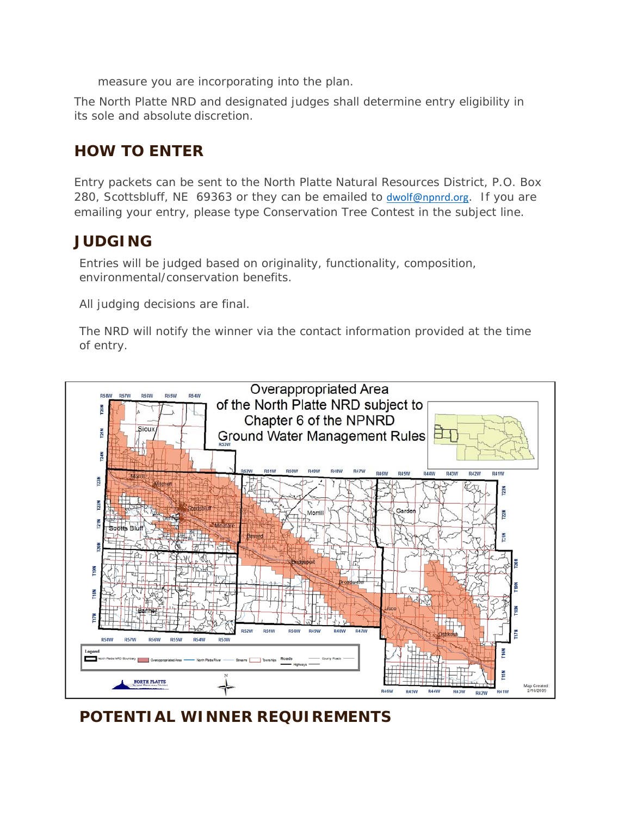measure you are incorporating into the plan.

The North Platte NRD and designated judges shall determine entry eligibility in its sole and absolute discretion.

## **HOW TO ENTER**

Entry packets can be sent to the North Platte Natural Resources District, P.O. Box 280, Scottsbluff, NE 69363 or they can be emailed to dwolf@npnrd.org. If you are emailing your entry, please type Conservation Tree Contest in the subject line.

#### **JUDGING**

Entries will be judged based on originality, functionality, composition, environmental/conservation benefits.

All judging decisions are final.

The NRD will notify the winner via the contact information provided at the time of entry.



**POTENTIAL WINNER REQUIREMENTS**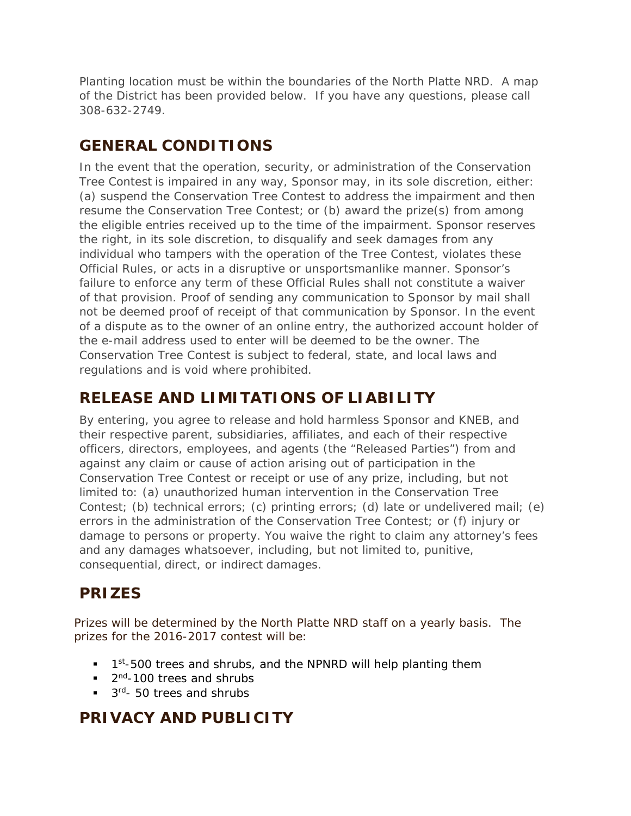Planting location must be within the boundaries of the North Platte NRD. A map of the District has been provided below. If you have any questions, please call 308-632-2749.

## **GENERAL CONDITIONS**

In the event that the operation, security, or administration of the Conservation Tree Contest is impaired in any way, Sponsor may, in its sole discretion, either: (a) suspend the Conservation Tree Contest to address the impairment and then resume the Conservation Tree Contest; or (b) award the prize(s) from among the eligible entries received up to the time of the impairment. Sponsor reserves the right, in its sole discretion, to disqualify and seek damages from any individual who tampers with the operation of the Tree Contest, violates these Official Rules, or acts in a disruptive or unsportsmanlike manner. Sponsor's failure to enforce any term of these Official Rules shall not constitute a waiver of that provision. Proof of sending any communication to Sponsor by mail shall not be deemed proof of receipt of that communication by Sponsor. In the event of a dispute as to the owner of an online entry, the authorized account holder of the e-mail address used to enter will be deemed to be the owner. The Conservation Tree Contest is subject to federal, state, and local laws and regulations and is void where prohibited.

## **RELEASE AND LIMITATIONS OF LIABILITY**

By entering, you agree to release and hold harmless Sponsor and KNEB, and their respective parent, subsidiaries, affiliates, and each of their respective officers, directors, employees, and agents (the "Released Parties") from and against any claim or cause of action arising out of participation in the Conservation Tree Contest or receipt or use of any prize, including, but not limited to: (a) unauthorized human intervention in the Conservation Tree Contest; (b) technical errors; (c) printing errors; (d) late or undelivered mail; (e) errors in the administration of the Conservation Tree Contest; or (f) injury or damage to persons or property. You waive the right to claim any attorney's fees and any damages whatsoever, including, but not limited to, punitive, consequential, direct, or indirect damages.

# **PRIZES**

Prizes will be determined by the North Platte NRD staff on a yearly basis. The prizes for the 2016-2017 contest will be:

- $\blacksquare$  1<sup>st</sup>-500 trees and shrubs, and the NPNRD will help planting them
- $\blacksquare$  2<sup>nd</sup>-100 trees and shrubs
- $\blacksquare$  3<sup>rd</sup>- 50 trees and shrubs

## **PRIVACY AND PUBLICITY**